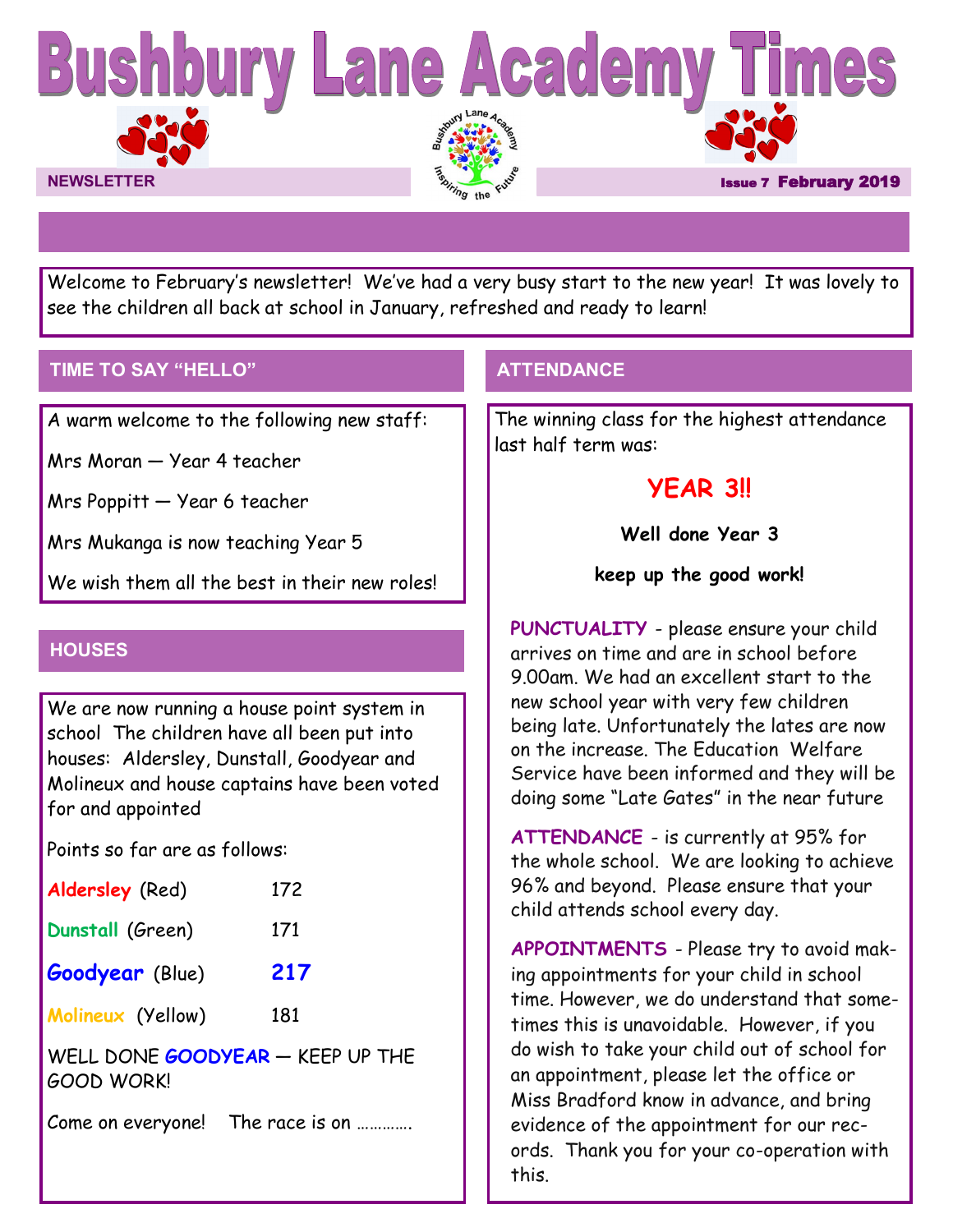

Welcome to February's newsletter! We've had a very busy start to the new year! It was lovely to see the children all back at school in January, refreshed and ready to learn!

# **TIME TO SAY "HELLO"**

A warm welcome to the following new staff:

Mrs Moran — Year 4 teacher

Mrs Poppitt — Year 6 teacher

Mrs Mukanga is now teaching Year 5

We wish them all the best in their new roles!

# **HOUSES**

We are now running a house point system in school The children have all been put into houses: Aldersley, Dunstall, Goodyear and Molineux and house captains have been voted for and appointed

Points so far are as follows:

| <b>Aldersley</b> (Red)        | 172 |
|-------------------------------|-----|
| Dunstall (Green)              | 171 |
| <b>Goodyear</b> (Blue)        | 217 |
| Molineux (Yellow)             | 181 |
| DONE GOODYFAR — KEEP<br>WFI I |     |

WELL DONE **GOODYEAR** — KEEP UP THE GOOD WORK!

Come on everyone! The race is on ………….

# **ATTENDANCE**

The winning class for the highest attendance last half term was:

# **YEAR 3!!**

**Well done Year 3**

**keep up the good work!**

**PUNCTUALITY** - please ensure your child arrives on time and are in school before 9.00am. We had an excellent start to the new school year with very few children being late. Unfortunately the lates are now on the increase. The Education Welfare Service have been informed and they will be doing some "Late Gates" in the near future

**ATTENDANCE** - is currently at 95% for the whole school. We are looking to achieve 96% and beyond. Please ensure that your child attends school every day.

**APPOINTMENTS** - Please try to avoid making appointments for your child in school time. However, we do understand that sometimes this is unavoidable. However, if you do wish to take your child out of school for an appointment, please let the office or Miss Bradford know in advance, and bring evidence of the appointment for our records. Thank you for your co-operation with this.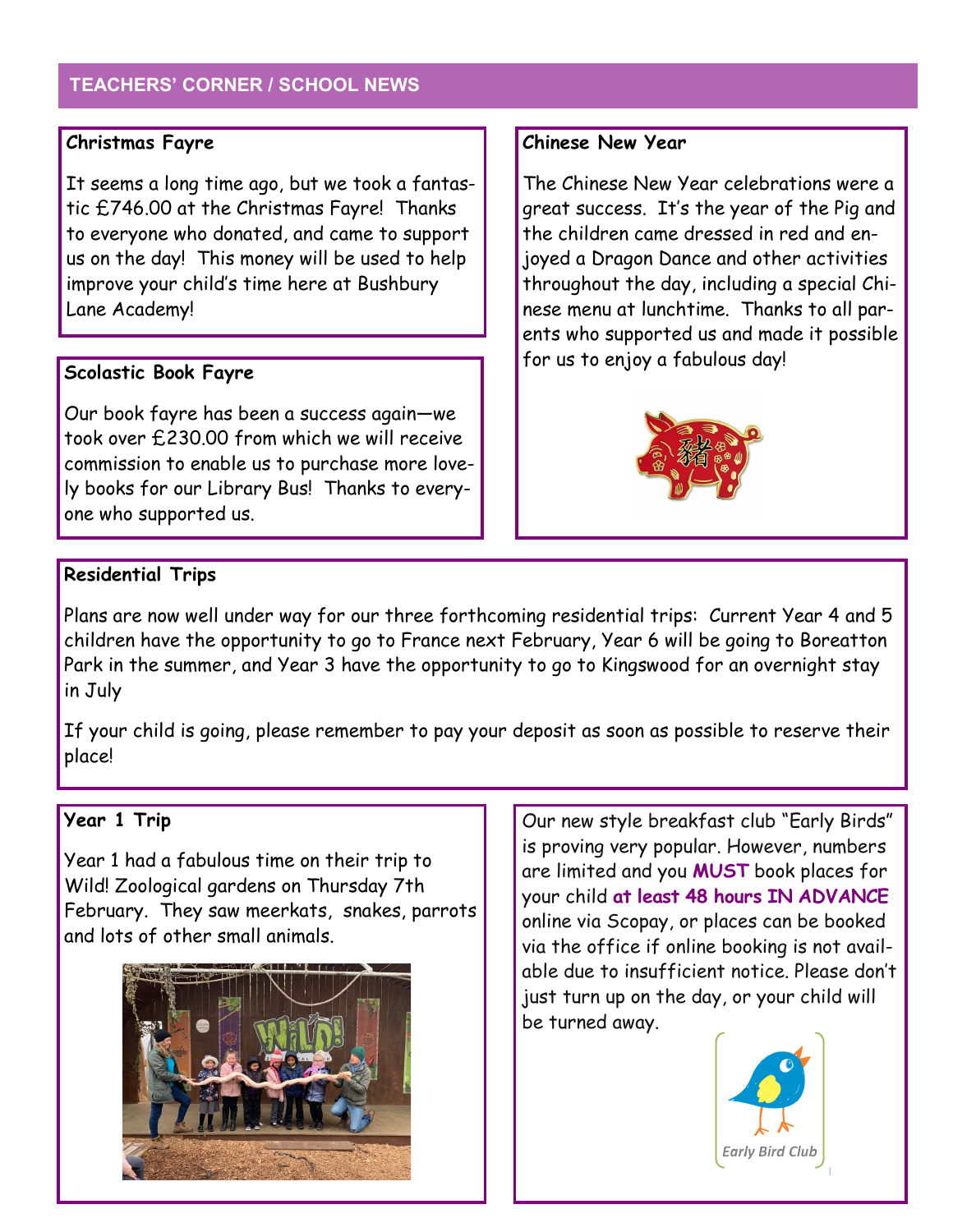# **TEACHERS' CORNER / SCHOOL NEWS**

## **Christmas Fayre**

It seems a long time ago, but we took a fantastic £746.00 at the Christmas Fayre! Thanks to everyone who donated, and came to support us on the day! This money will be used to help improve your child's time here at Bushbury Lane Academy!

## **Scolastic Book Fayre**

Our book fayre has been a success again—we took over £230.00 from which we will receive commission to enable us to purchase more lovely books for our Library Bus! Thanks to everyone who supported us.

## **Chinese New Year**

The Chinese New Year celebrations were a great success. It's the year of the Pig and the children came dressed in red and enjoyed a Dragon Dance and other activities throughout the day, including a special Chinese menu at lunchtime. Thanks to all parents who supported us and made it possible for us to enjoy a fabulous day!



# **Residential Trips**

Plans are now well under way for our three forthcoming residential trips: Current Year 4 and 5 children have the opportunity to go to France next February, Year 6 will be going to Boreatton Park in the summer, and Year 3 have the opportunity to go to Kingswood for an overnight stay in July

If your child is going, please remember to pay your deposit as soon as possible to reserve their place!

# **Year 1 Trip**

Year 1 had a fabulous time on their trip to Wild! Zoological gardens on Thursday 7th February. They saw meerkats, snakes, parrots and lots of other small animals.



Our new style breakfast club "Early Birds" is proving very popular. However, numbers are limited and you **MUST** book places for your child **at least 48 hours IN ADVANCE**  online via Scopay, or places can be booked via the office if online booking is not available due to insufficient notice. Please don't just turn up on the day, or your child will be turned away.

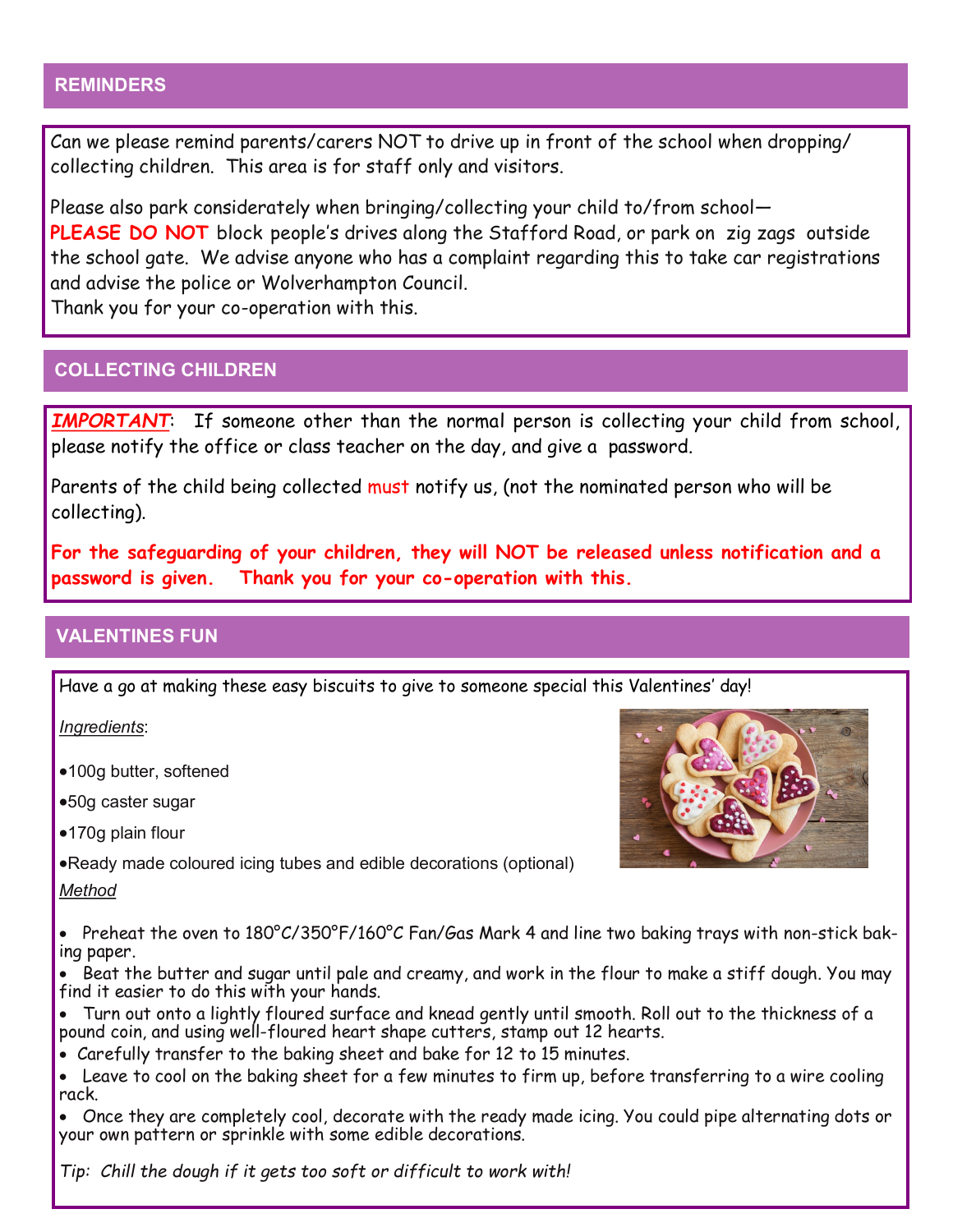## **REMINDERS**

Can we please remind parents/carers NOT to drive up in front of the school when dropping/ collecting children. This area is for staff only and visitors.

Please also park considerately when bringing/collecting your child to/from school— **PLEASE DO NOT** block people's drives along the Stafford Road, or park on zig zags outside the school gate. We advise anyone who has a complaint regarding this to take car registrations and advise the police or Wolverhampton Council.

Thank you for your co-operation with this.

## **COLLECTING CHILDREN**

*IMPORTANT*: If someone other than the normal person is collecting your child from school, please notify the office or class teacher on the day, and give a password.

Parents of the child being collected must notify us, (not the nominated person who will be collecting).

**For the safeguarding of your children, they will NOT be released unless notification and a password is given. Thank you for your co-operation with this.**

## **VALENTINES FUN**

Have a go at making these easy biscuits to give to someone special this Valentines' day!

*Ingredients*:

100g butter, softened

50g caster sugar

●170g plain flour

Ready made coloured icing tubes and edible decorations (optional)

#### *Method*

• Preheat the oven to 180°C/350°F/160°C Fan/Gas Mark 4 and line two baking trays with non-stick baking paper.

 Beat the butter and sugar until pale and creamy, and work in the flour to make a stiff dough. You may find it easier to do this with your hands.

 Turn out onto a lightly floured surface and knead gently until smooth. Roll out to the thickness of a pound coin, and using well-floured heart shape cutters, stamp out 12 hearts.

Carefully transfer to the baking sheet and bake for 12 to 15 minutes.

 Leave to cool on the baking sheet for a few minutes to firm up, before transferring to a wire cooling rack.

 Once they are completely cool, decorate with the ready made icing. You could pipe alternating dots or your own pattern or sprinkle with some edible decorations.

*Tip: Chill the dough if it gets too soft or difficult to work with!*